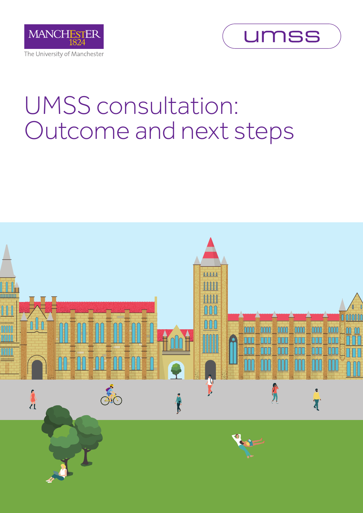



# UMSS consultation: Outcome and next steps

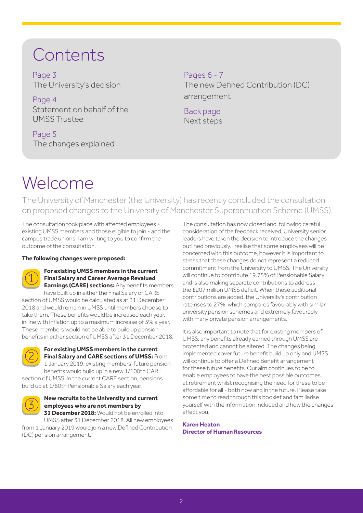# Contents

Page 3 The University's decision

Page 4 Statement on behalf of the UMSS Trustee

Page 5 The changes explained Pages 6 - 7 The new Defined Contribution (DC) arrangement

Back page Next steps

# Welcome

The University of Manchester (the University) has recently concluded the consultation on proposed changes to the University of Manchester Superannuation Scheme (UMSS).

The consultation took place with affected employees existing UMSS members and those eligible to join - and the campus trade unions. I am writing to you to confirm the outcome of the consultation.

#### **The following changes were proposed:**



#### **For existing UMSS members in the current Final Salary and Career Average Revalued Earnings (CARE) sections:** Any benefits members

have built up in either the Final Salary or CARE section of UMSS would be calculated as at 31 December 2018 and would remain in UMSS until members choose to take them. These benefits would be increased each year, in line with inflation up to a maximum increase of 5% a year. These members would not be able to build up pension benefits in either section of UMSS after 31 December 2018.



**For existing UMSS members in the current Final Salary and CARE sections of UMSS:** From 1 January 2019, existing members' future pension benefits would build up in a new 1/100th CARE

section of UMSS. In the current CARE section, pensions build up at 1/80th Pensionable Salary each year.



#### **New recruits to the University and current employees who are not members by 31 December 2018:** Would not be enrolled into

UMSS after 31 December 2018. All new employees from 1 January 2019 would join a new Defined Contribution (DC) pension arrangement.

The consultation has now closed and, following careful consideration of the feedback received, University senior leaders have taken the decision to introduce the changes outlined previously. I realise that some employees will be concerned with this outcome, however it is important to stress that these changes do not represent a reduced commitment from the University to UMSS. The University will continue to contribute 19.75% of Pensionable Salary and is also making separate contributions to address the £207 million UMSS deficit. When these additional contributions are added, the University's contribution rate rises to 27%, which compares favourably with similar university pension schemes and extremely favourably with many private pension arrangements.

It is also important to note that for existing members of UMSS, any benefits already earned through UMSS are protected and cannot be altered. The changes being implemented cover future benefit build up only and UMSS will continue to offer a Defined Benefit arrangement for these future benefits. Our aim continues to be to enable employees to have the best possible outcomes at retirement whilst recognising the need for these to be affordable for all - both now and in the future. Please take some time to read through this booklet and familiarise yourself with the information included and how the changes affect you.

**Karen Heaton Director of Human Resources**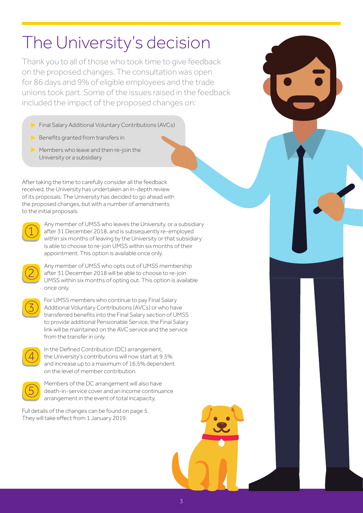# The University's decision

Thank you to all of those who took time to give feedback on the proposed changes. The consultation was open for 86 days and 9% of eligible employees and the trade unions took part. Some of the issues raised in the feedback included the impact of the proposed changes on:

- **Final Salary Additional Voluntary Contributions (AVCs)**
- $\blacktriangleright$  Benefits granted from transfers in
- Members who leave and then re-join the University or a subsidiary

After taking the time to carefully consider all the feedback received, the University has undertaken an in-depth review of its proposals. The University has decided to go ahead with the proposed changes, but with a number of amendments to the initial proposals.



Any member of UMSS who leaves the University, or a subsidiary after 31 December 2018, and is subsequently re-employed within six months of leaving by the University or that subsidiary is able to choose to re-join UMSS within six months of their appointment. This option is available once only.



Any member of UMSS who opts out of UMSS membership after 31 December 2018 will be able to choose to re-join UMSS within six months of opting out. This option is available once only.



For UMSS members who continue to pay Final Salary Additional Voluntary Contributions (AVCs) or who have transferred benefits into the Final Salary section of UMSS to provide additional Pensionable Service, the Final Salary link will be maintained on the AVC service and the service from the transfer in only.



In the Defined Contribution (DC) arrangement, the University's contributions will now start at 9.5% and increase up to a maximum of 16.5% dependent on the level of member contribution.



Members of the DC arrangement will also have death-in-service cover and an income continuance arrangement in the event of total incapacity,

Full details of the changes can be found on page 5. They will take effect from 1 January 2019.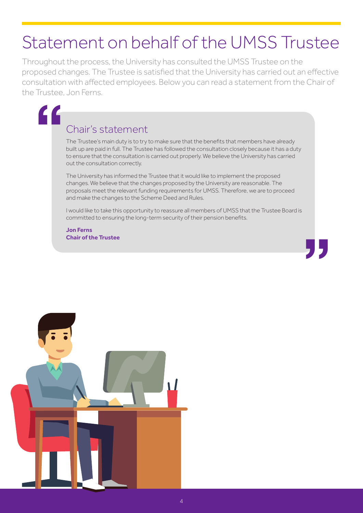# Statement on behalf of the UMSS Trustee

Throughout the process, the University has consulted the UMSS Trustee on the proposed changes. The Trustee is satisfied that the University has carried out an effective consultation with affected employees. Below you can read a statement from the Chair of the Trustee, Jon Ferns.

"<br>"<br>|

## Chair's statement

The Trustee's main duty is to try to make sure that the benefits that members have already built up are paid in full. The Trustee has followed the consultation closely because it has a duty to ensure that the consultation is carried out properly. We believe the University has carried out the consultation correctly.

The University has informed the Trustee that it would like to implement the proposed changes. We believe that the changes proposed by the University are reasonable. The proposals meet the relevant funding requirements for UMSS. Therefore, we are to proceed and make the changes to the Scheme Deed and Rules.

I would like to take this opportunity to reassure all members of UMSS that the Trustee Board is committed to ensuring the long-term security of their pension benefits.

**"** 

**Jon Ferns Chair of the Trustee**

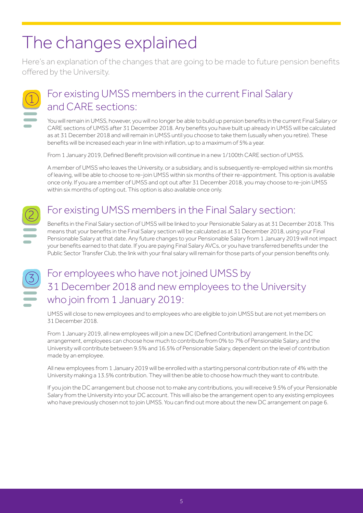# The changes explained

Here's an explanation of the changes that are going to be made to future pension benefits offered by the University.



## For existing UMSS members in the current Final Salary and CARE sections:

You will remain in UMSS, however, you will no longer be able to build up pension benefits in the current Final Salary or CARE sections of UMSS after 31 December 2018. Any benefits you have built up already in UMSS will be calculated as at 31 December 2018 and will remain in UMSS until you choose to take them (usually when you retire). These benefits will be increased each year in line with inflation, up to a maximum of 5% a year.

From 1 January 2019, Defined Benefit provision will continue in a new 1/100th CARE section of UMSS.

A member of UMSS who leaves the University, or a subsidiary, and is subsequently re-employed within six months of leaving, will be able to choose to re-join UMSS within six months of their re-appointment. This option is available once only. If you are a member of UMSS and opt out after 31 December 2018, you may choose to re-join UMSS within six months of opting out. This option is also available once only.



# For existing UMSS members in the Final Salary section:

Benefits in the Final Salary section of UMSS will be linked to your Pensionable Salary as at 31 December 2018. This means that your benefits in the Final Salary section will be calculated as at 31 December 2018, using your Final Pensionable Salary at that date. Any future changes to your Pensionable Salary from 1 January 2019 will not impact your benefits earned to that date. If you are paying Final Salary AVCs, or you have transferred benefits under the Public Sector Transfer Club, the link with your final salary will remain for those parts of your pension benefits only.

## For employees who have not joined UMSS by 31 December 2018 and new employees to the University who join from 1 January 2019:

UMSS will close to new employees and to employees who are eligible to join UMSS but are not yet members on 31 December 2018.

From 1 January 2019, all new employees will join a new DC (Defined Contribution) arrangement. In the DC arrangement, employees can choose how much to contribute from 0% to 7% of Pensionable Salary, and the University will contribute between 9.5% and 16.5% of Pensionable Salary, dependent on the level of contribution made by an employee.

All new employees from 1 January 2019 will be enrolled with a starting personal contribution rate of 4% with the University making a 13.5% contribution. They will then be able to choose how much they want to contribute.

If you join the DC arrangement but choose not to make any contributions, you will receive 9.5% of your Pensionable Salary from the University into your DC account. This will also be the arrangement open to any existing employees who have previously chosen not to join UMSS. You can find out more about the new DC arrangement on page 6.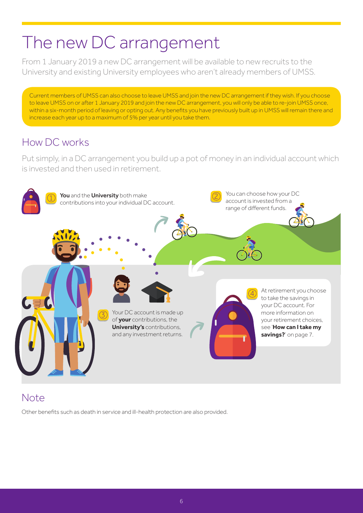# The new DC arrangement

From 1 January 2019 a new DC arrangement will be available to new recruits to the University and existing University employees who aren't already members of UMSS.

Current members of UMSS can also choose to leave UMSS and join the new DC arrangement if they wish. If you choose to leave UMSS on or after 1 January 2019 and join the new DC arrangement, you will only be able to re-join UMSS once, within a six-month period of leaving or opting out. Any benefits you have previously built up in UMSS will remain there and increase each year up to a maximum of 5% per year until you take them.

### How DC works

Put simply, in a DC arrangement you build up a pot of money in an individual account which is invested and then used in retirement.



## Note

Other benefits such as death in service and ill-health protection are also provided.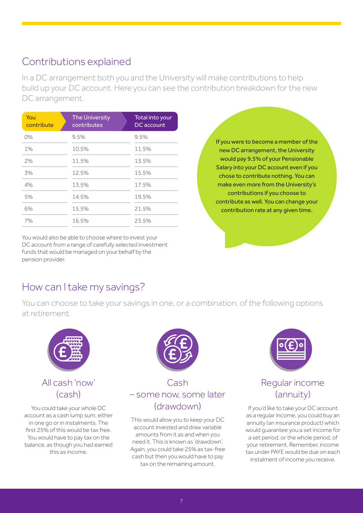### Contributions explained

In a DC arrangement both you and the University will make contributions to help build up your DC account. Here you can see the contribution breakdown for the new DC arrangement.

| You<br>contribute | <b>The University</b><br>contributes | Total into your<br>DC account |
|-------------------|--------------------------------------|-------------------------------|
| O%                | 9.5%                                 | 9.5%                          |
| 1%                | 10.5%                                | 11.5%                         |
| 2%                | 11.5%                                | 13.5%                         |
| 3%                | 12.5%                                | 15.5%                         |
| 4%                | 13.5%                                | 17.5%                         |
| 5%                | 14.5%                                | 19.5%                         |
| 6%                | 15.5%                                | 21.5%                         |
| 7%                | 16.5%                                | 23.5%                         |

You would also be able to choose where to invest your DC account from a range of carefully selected investment funds that would be managed on your behalf by the pension provider.

If you were to become a member of the new DC arrangement, the University would pay 9.5% of your Pensionable Salary into your DC account even if you chose to contribute nothing. You can make even more from the University's contributions if you choose to contribute as well. You can change your contribution rate at any given time.

### How can I take my savings?

You can choose to take your savings in one, or a combination, of the following options at retirement.



#### All cash 'now' (cash)

You could take your whole DC account as a cash lump sum, either in one go or in instalments. The first 25% of this would be tax free. You would have to pay tax on the balance, as though you had earned this as income.



#### Cash – some now, some later (drawdown)

This would allow you to keep your DC account invested and draw variable amounts from it as and when you need it. This is known as 'drawdown'. Again, you could take 25% as tax-free cash but then you would have to pay tax on the remaining amount.



#### Regular income (annuity)

If you'd like to take your DC account as a regular income, you could buy an annuity (an insurance product) which would guarantee you a set income for a set period, or the whole period, of your retirement. Remember, income tax under PAYE would be due on each instalment of income you receive.